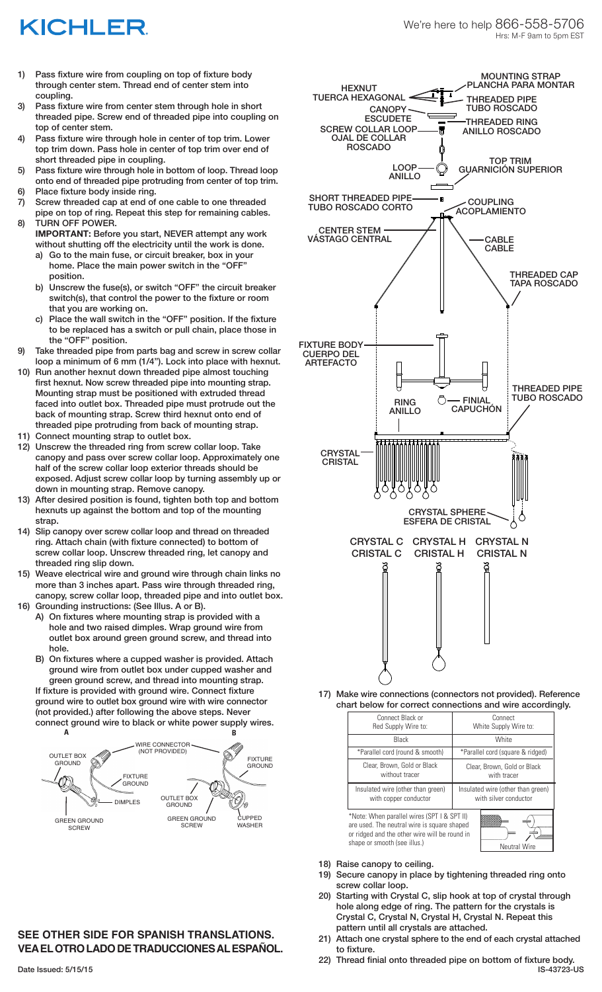## KICHLER

- 1) Pass fixture wire from coupling on top of fixture body through center stem. Thread end of center stem into coupling.
- 3) Pass fixture wire from center stem through hole in short threaded pipe. Screw end of threaded pipe into coupling on top of center stem.
- 4) Pass fixture wire through hole in center of top trim. Lower top trim down. Pass hole in center of top trim over end of short threaded pipe in coupling.
- 5) Pass fixture wire through hole in bottom of loop. Thread loop onto end of threaded pipe protruding from center of top trim.
- 6) Place fixture body inside ring.
- 7) Screw threaded cap at end of one cable to one threaded pipe on top of ring. Repeat this step for remaining cables. 8) TURN OFF POWER.
- **IMPORTANT:** Before you start, NEVER attempt any work without shutting off the electricity until the work is done.
	- a) Go to the main fuse, or circuit breaker, box in your home. Place the main power switch in the "OFF" position.
	- b) Unscrew the fuse(s), or switch "OFF" the circuit breaker switch(s), that control the power to the fixture or room that you are working on.
	- c) Place the wall switch in the "OFF" position. If the fixture to be replaced has a switch or pull chain, place those in the "OFF" position.
- 9) Take threaded pipe from parts bag and screw in screw collar loop a minimum of 6 mm (1/4"). Lock into place with hexnut.
- 10) Run another hexnut down threaded pipe almost touching first hexnut. Now screw threaded pipe into mounting strap. Mounting strap must be positioned with extruded thread faced into outlet box. Threaded pipe must protrude out the back of mounting strap. Screw third hexnut onto end of threaded pipe protruding from back of mounting strap.
- 11) Connect mounting strap to outlet box.
- 12) Unscrew the threaded ring from screw collar loop. Take canopy and pass over screw collar loop. Approximately one half of the screw collar loop exterior threads should be exposed. Adjust screw collar loop by turning assembly up or down in mounting strap. Remove canopy.
- 13) After desired position is found, tighten both top and bottom hexnuts up against the bottom and top of the mounting strap.
- 14) Slip canopy over screw collar loop and thread on threaded ring. Attach chain (with fixture connected) to bottom of screw collar loop. Unscrew threaded ring, let canopy and threaded ring slip down.
- 15) Weave electrical wire and ground wire through chain links no more than 3 inches apart. Pass wire through threaded ring, canopy, screw collar loop, threaded pipe and into outlet box.
- 16) Grounding instructions: (See Illus. A or B).
	- A) On fixtures where mounting strap is provided with a hole and two raised dimples. Wrap ground wire from outlet box around green ground screw, and thread into hole.
	- B) On fixtures where a cupped washer is provided. Attach ground wire from outlet box under cupped washer and green ground screw, and thread into mounting strap.

If fixture is provided with ground wire. Connect fixture ground wire to outlet box ground wire with wire connector (not provided.) after following the above steps. Never connect ground wire to black or white power supply wires. **A B**



## **SEE OTHER SIDE FOR SPANISH TRANSLATIONS. VEA EL OTRO LADO DE TRADUCCIONES AL ESPAÑOL.**



17) Make wire connections (connectors not provided). Reference chart below for correct connections and wire accordingly.

| Connect Black or                                                                                                                                                                                   | Connect                           |
|----------------------------------------------------------------------------------------------------------------------------------------------------------------------------------------------------|-----------------------------------|
| Red Supply Wire to:                                                                                                                                                                                | White Supply Wire to:             |
| Black                                                                                                                                                                                              | <b>White</b>                      |
| *Parallel cord (round & smooth)                                                                                                                                                                    | *Parallel cord (square & ridged)  |
| Clear, Brown, Gold or Black                                                                                                                                                                        | Clear, Brown, Gold or Black       |
| without tracer                                                                                                                                                                                     | with tracer                       |
| Insulated wire (other than green)                                                                                                                                                                  | Insulated wire (other than green) |
| with copper conductor                                                                                                                                                                              | with silver conductor             |
| *Note: When parallel wires (SPT I & SPT II)<br>are used. The neutral wire is square shaped<br>or ridged and the other wire will be round in<br>shape or smooth (see illus.)<br><b>Neutral Wire</b> |                                   |

- 18) Raise canopy to ceiling.
- 19) Secure canopy in place by tightening threaded ring onto screw collar loop.
- 20) Starting with Crystal C, slip hook at top of crystal through hole along edge of ring. The pattern for the crystals is Crystal C, Crystal N, Crystal H, Crystal N. Repeat this pattern until all crystals are attached.
- 21) Attach one crystal sphere to the end of each crystal attached to fixture.
- 22) Thread finial onto threaded pipe on bottom of fixture body. Date Issued: 5/15/15 IS-43723-US